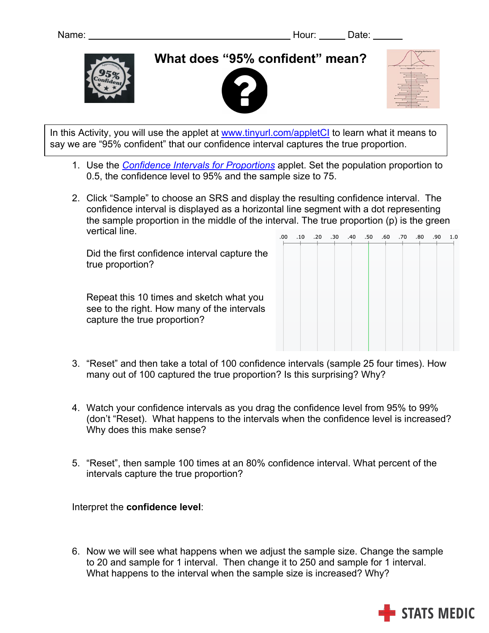

**What does "95% confident" mean?**





In this Activity, you will use the applet at www.tinyurl.com/appletCI to learn what it means to say we are "95% confident" that our confidence interval captures the true proportion.

- 1. Use the *Confidence Intervals for Proportions* applet. Set the population proportion to 0.5, the confidence level to 95% and the sample size to 75.
- 2. Click "Sample" to choose an SRS and display the resulting confidence interval. The confidence interval is displayed as a horizontal line segment with a dot representing the sample proportion in the middle of the interval. The true proportion (p) is the green vertical line.  $\overline{0}$

Did the first confidence interval capture the true proportion?

Repeat this 10 times and sketch what you see to the right. How many of the intervals capture the true proportion?

|  | 0.1 09. 08. 07. 06. 05. 40. 00. 00. 01. 00 |  |  |  |  |
|--|--------------------------------------------|--|--|--|--|
|  |                                            |  |  |  |  |
|  |                                            |  |  |  |  |
|  |                                            |  |  |  |  |
|  |                                            |  |  |  |  |
|  |                                            |  |  |  |  |
|  |                                            |  |  |  |  |
|  |                                            |  |  |  |  |
|  |                                            |  |  |  |  |

- 3. "Reset" and then take a total of 100 confidence intervals (sample 25 four times). How many out of 100 captured the true proportion? Is this surprising? Why?
- 4. Watch your confidence intervals as you drag the confidence level from 95% to 99% (don't "Reset). What happens to the intervals when the confidence level is increased? Why does this make sense?
- 5. "Reset", then sample 100 times at an 80% confidence interval. What percent of the intervals capture the true proportion?

Interpret the **confidence level**:

6. Now we will see what happens when we adjust the sample size. Change the sample to 20 and sample for 1 interval. Then change it to 250 and sample for 1 interval. What happens to the interval when the sample size is increased? Why?